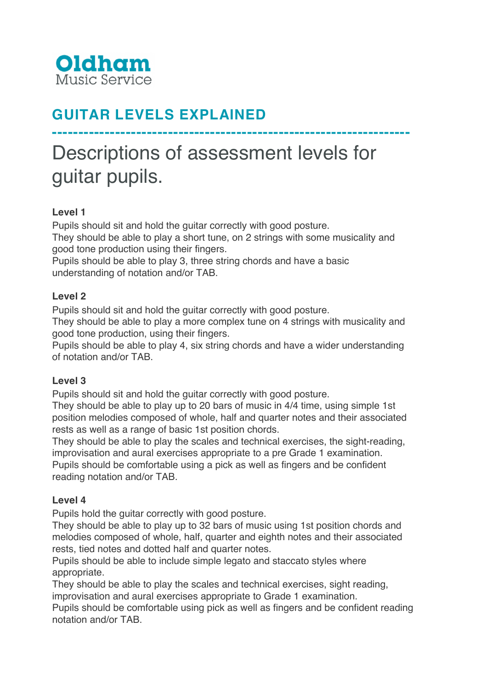

# **GUITAR LEVELS EXPLAINED**

# Descriptions of assessment levels for guitar pupils.

**--------------------------------------------------------------------**

# **Level 1**

Pupils should sit and hold the guitar correctly with good posture.

They should be able to play a short tune, on 2 strings with some musicality and good tone production using their fingers.

Pupils should be able to play 3, three string chords and have a basic understanding of notation and/or TAB.

#### **Level 2**

Pupils should sit and hold the guitar correctly with good posture.

They should be able to play a more complex tune on 4 strings with musicality and good tone production, using their fingers.

Pupils should be able to play 4, six string chords and have a wider understanding of notation and/or TAB.

#### **Level 3**

Pupils should sit and hold the guitar correctly with good posture.

They should be able to play up to 20 bars of music in 4/4 time, using simple 1st position melodies composed of whole, half and quarter notes and their associated rests as well as a range of basic 1st position chords.

They should be able to play the scales and technical exercises, the sight-reading, improvisation and aural exercises appropriate to a pre Grade 1 examination. Pupils should be comfortable using a pick as well as fingers and be confident reading notation and/or TAB.

#### **Level 4**

Pupils hold the guitar correctly with good posture.

They should be able to play up to 32 bars of music using 1st position chords and melodies composed of whole, half, quarter and eighth notes and their associated rests, tied notes and dotted half and quarter notes.

Pupils should be able to include simple legato and staccato styles where appropriate.

They should be able to play the scales and technical exercises, sight reading, improvisation and aural exercises appropriate to Grade 1 examination.

Pupils should be comfortable using pick as well as fingers and be confident reading notation and/or TAB.